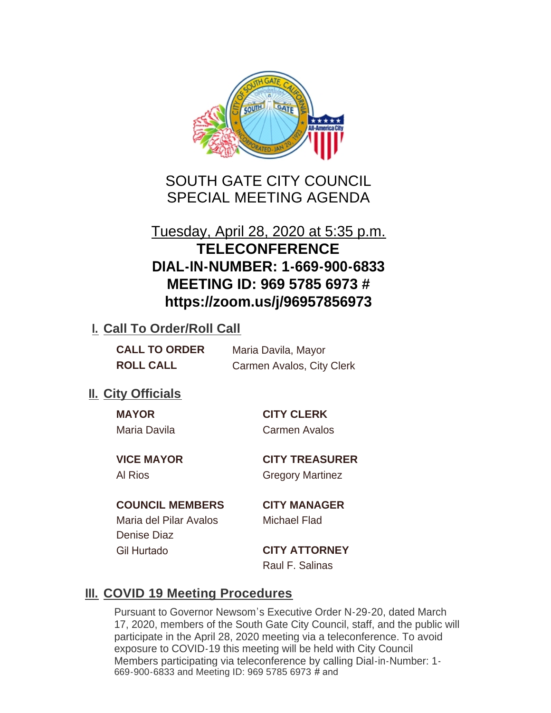

SOUTH GATE CITY COUNCIL SPECIAL MEETING AGENDA

# Tuesday, April 28, 2020 at 5:35 p.m. **TELECONFERENCE DIAL-IN-NUMBER: 1-669-900-6833 MEETING ID: 969 5785 6973 # https://zoom.us/j/96957856973**

### **I. Call To Order/Roll Call**

| <b>CALL TO ORDER</b> | Maria Davila, Mayor       |
|----------------------|---------------------------|
| <b>ROLL CALL</b>     | Carmen Avalos, City Clerk |

### **II.** City Officials

Maria Davila Carmen Avalos

**MAYOR CITY CLERK**

**VICE MAYOR CITY TREASURER** Al Rios Gregory Martinez

#### **COUNCIL MEMBERS CITY MANAGER**

Maria del Pilar Avalos Michael Flad Denise Diaz Gil Hurtado **CITY ATTORNEY**

Raul F. Salinas

## **III. COVID 19 Meeting Procedures**

Pursuant to Governor Newsom's Executive Order N-29-20, dated March 17, 2020, members of the South Gate City Council, staff, and the public will participate in the April 28, 2020 meeting via a teleconference. To avoid exposure to COVID-19 this meeting will be held with City Council Members participating via teleconference by calling Dial-in-Number: 1- 669-900-6833 and Meeting ID: 969 5785 6973 # and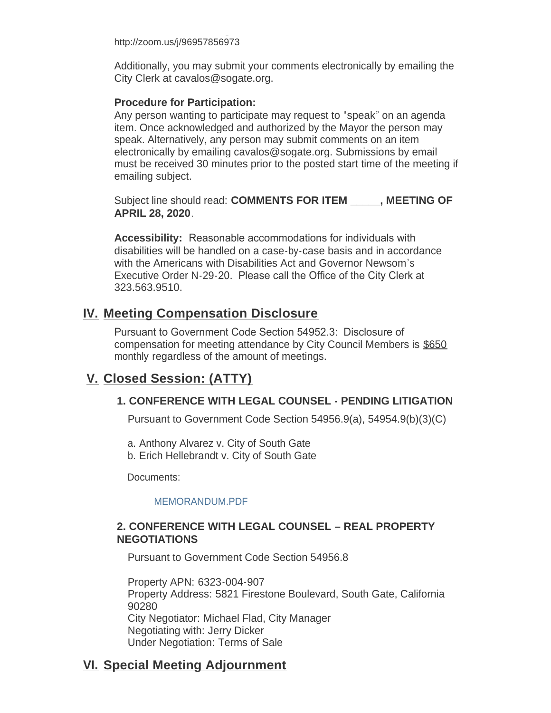669-900-6833 and Meeting ID: 969 5785 6973 # and http://zoom.us/j/96957856973

Additionally, you may submit your comments electronically by emailing the City Clerk at cavalos@sogate.org.

#### **Procedure for Participation:**

Any person wanting to participate may request to "speak" on an agenda item. Once acknowledged and authorized by the Mayor the person may speak. Alternatively, any person may submit comments on an item electronically by emailing cavalos@sogate.org. Submissions by email must be received 30 minutes prior to the posted start time of the meeting if emailing subject.

Subject line should read: **COMMENTS FOR ITEM \_\_\_\_\_, MEETING OF APRIL 28, 2020**.

**Accessibility:** Reasonable accommodations for individuals with disabilities will be handled on a case-by-case basis and in accordance with the Americans with Disabilities Act and Governor Newsom's Executive Order N-29-20. Please call the Office of the City Clerk at 323.563.9510.

### **Meeting Compensation Disclosure IV.**

Pursuant to Government Code Section 54952.3: Disclosure of compensation for meeting attendance by City Council Members is \$650 monthly regardless of the amount of meetings.

### **Closed Session: (ATTY) V.**

#### **1. CONFERENCE WITH LEGAL COUNSEL - PENDING LITIGATION**

Pursuant to Government Code Section 54956.9(a), 54954.9(b)(3)(C)

a. Anthony Alvarez v. City of South Gate

b. Erich Hellebrandt v. City of South Gate

Documents:

#### [MEMORANDUM.PDF](http://cityofsouthgate.org/AgendaCenter/ViewFile/Item/8837?fileID=24023)

#### **2. CONFERENCE WITH LEGAL COUNSEL – REAL PROPERTY NEGOTIATIONS**

Pursuant to Government Code Section 54956.8

Property APN: 6323-004-907 Property Address: 5821 Firestone Boulevard, South Gate, California 90280 City Negotiator: Michael Flad, City Manager Negotiating with: Jerry Dicker Under Negotiation: Terms of Sale

## **Special Meeting Adjournment VI.**